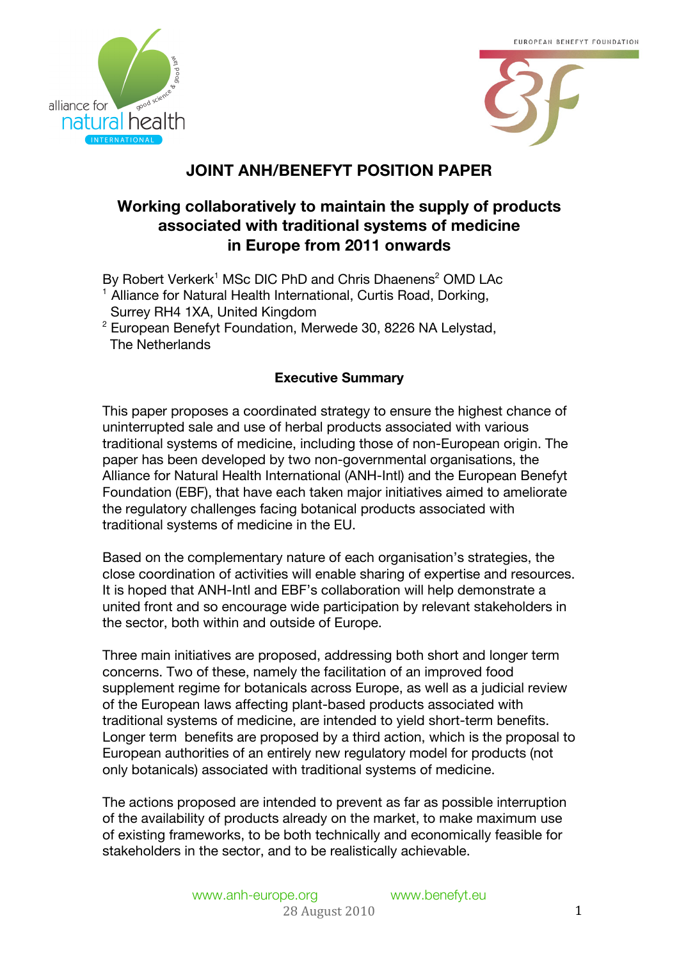



# **JOINT ANH/BENEFYT POSITION PAPER**

# **Working collaboratively to maintain the supply of products associated with traditional systems of medicine in Europe from 2011 onwards**

By Robert Verkerk<sup>1</sup> MSc DIC PhD and Chris Dhaenens<sup>2</sup> OMD LAc <sup>1</sup> Alliance for Natural Health International, Curtis Road, Dorking, Surrey RH4 1XA, United Kingdom

 $2$  European Benefyt Foundation, Merwede 30, 8226 NA Lelystad, The Netherlands

## **Executive Summary**

This paper proposes a coordinated strategy to ensure the highest chance of uninterrupted sale and use of herbal products associated with various traditional systems of medicine, including those of non-European origin. The paper has been developed by two non-governmental organisations, the Alliance for Natural Health International (ANH-Intl) and the European Benefyt Foundation (EBF), that have each taken major initiatives aimed to ameliorate the regulatory challenges facing botanical products associated with traditional systems of medicine in the EU.

Based on the complementary nature of each organisation's strategies, the close coordination of activities will enable sharing of expertise and resources. It is hoped that ANH-Intl and EBF's collaboration will help demonstrate a united front and so encourage wide participation by relevant stakeholders in the sector, both within and outside of Europe.

Three main initiatives are proposed, addressing both short and longer term concerns. Two of these, namely the facilitation of an improved food supplement regime for botanicals across Europe, as well as a judicial review of the European laws affecting plant-based products associated with traditional systems of medicine, are intended to yield short-term benefits. Longer term benefits are proposed by a third action, which is the proposal to European authorities of an entirely new regulatory model for products (not only botanicals) associated with traditional systems of medicine.

The actions proposed are intended to prevent as far as possible interruption of the availability of products already on the market, to make maximum use of existing frameworks, to be both technically and economically feasible for stakeholders in the sector, and to be realistically achievable.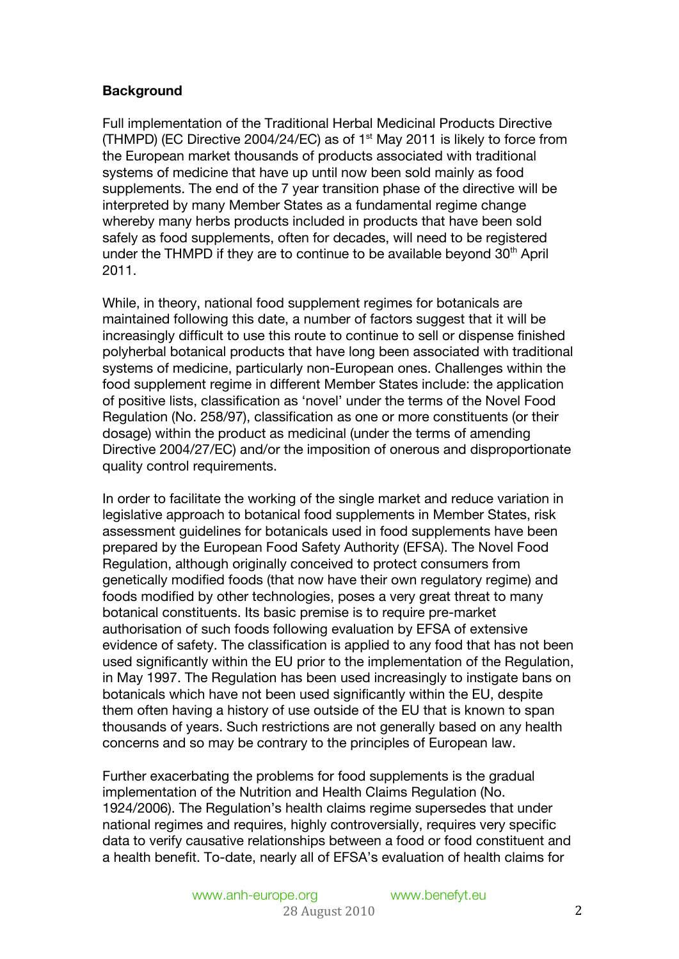## **Background**

Full implementation of the Traditional Herbal Medicinal Products Directive (THMPD) (EC Directive 2004/24/EC) as of  $1<sup>st</sup>$  May 2011 is likely to force from the European market thousands of products associated with traditional systems of medicine that have up until now been sold mainly as food supplements. The end of the 7 year transition phase of the directive will be interpreted by many Member States as a fundamental regime change whereby many herbs products included in products that have been sold safely as food supplements, often for decades, will need to be registered under the THMPD if they are to continue to be available beyond 30<sup>th</sup> April 2011.

While, in theory, national food supplement regimes for botanicals are maintained following this date, a number of factors suggest that it will be increasingly difficult to use this route to continue to sell or dispense finished polyherbal botanical products that have long been associated with traditional systems of medicine, particularly non-European ones. Challenges within the food supplement regime in different Member States include: the application of positive lists, classification as 'novel' under the terms of the Novel Food Regulation (No. 258/97), classification as one or more constituents (or their dosage) within the product as medicinal (under the terms of amending Directive 2004/27/EC) and/or the imposition of onerous and disproportionate quality control requirements.

In order to facilitate the working of the single market and reduce variation in legislative approach to botanical food supplements in Member States, risk assessment guidelines for botanicals used in food supplements have been prepared by the European Food Safety Authority (EFSA). The Novel Food Regulation, although originally conceived to protect consumers from genetically modified foods (that now have their own regulatory regime) and foods modified by other technologies, poses a very great threat to many botanical constituents. Its basic premise is to require pre-market authorisation of such foods following evaluation by EFSA of extensive evidence of safety. The classification is applied to any food that has not been used significantly within the EU prior to the implementation of the Regulation, in May 1997. The Regulation has been used increasingly to instigate bans on botanicals which have not been used significantly within the EU, despite them often having a history of use outside of the EU that is known to span thousands of years. Such restrictions are not generally based on any health concerns and so may be contrary to the principles of European law.

Further exacerbating the problems for food supplements is the gradual implementation of the Nutrition and Health Claims Regulation (No. 1924/2006). The Regulation's health claims regime supersedes that under national regimes and requires, highly controversially, requires very specific data to verify causative relationships between a food or food constituent and a health benefit. To-date, nearly all of EFSA's evaluation of health claims for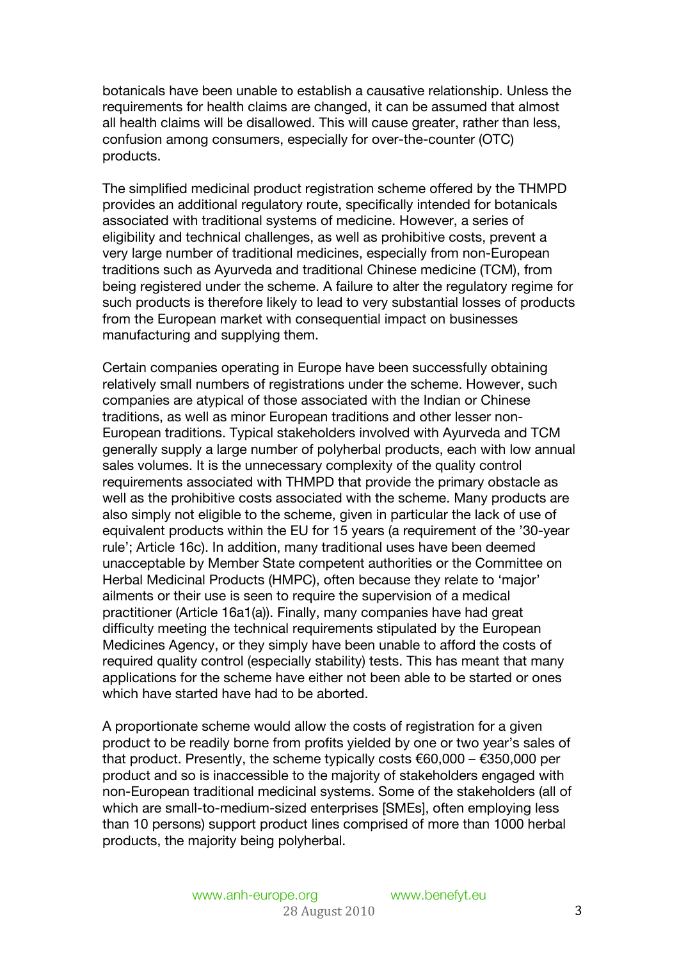botanicals have been unable to establish a causative relationship. Unless the requirements for health claims are changed, it can be assumed that almost all health claims will be disallowed. This will cause greater, rather than less, confusion among consumers, especially for over-the-counter (OTC) products.

The simplified medicinal product registration scheme offered by the THMPD provides an additional regulatory route, specifically intended for botanicals associated with traditional systems of medicine. However, a series of eligibility and technical challenges, as well as prohibitive costs, prevent a very large number of traditional medicines, especially from non-European traditions such as Ayurveda and traditional Chinese medicine (TCM), from being registered under the scheme. A failure to alter the regulatory regime for such products is therefore likely to lead to very substantial losses of products from the European market with consequential impact on businesses manufacturing and supplying them.

Certain companies operating in Europe have been successfully obtaining relatively small numbers of registrations under the scheme. However, such companies are atypical of those associated with the Indian or Chinese traditions, as well as minor European traditions and other lesser non-European traditions. Typical stakeholders involved with Ayurveda and TCM generally supply a large number of polyherbal products, each with low annual sales volumes. It is the unnecessary complexity of the quality control requirements associated with THMPD that provide the primary obstacle as well as the prohibitive costs associated with the scheme. Many products are also simply not eligible to the scheme, given in particular the lack of use of equivalent products within the EU for 15 years (a requirement of the '30-year rule'; Article 16c). In addition, many traditional uses have been deemed unacceptable by Member State competent authorities or the Committee on Herbal Medicinal Products (HMPC), often because they relate to 'major' ailments or their use is seen to require the supervision of a medical practitioner (Article 16a1(a)). Finally, many companies have had great difficulty meeting the technical requirements stipulated by the European Medicines Agency, or they simply have been unable to afford the costs of required quality control (especially stability) tests. This has meant that many applications for the scheme have either not been able to be started or ones which have started have had to be aborted.

A proportionate scheme would allow the costs of registration for a given product to be readily borne from profits yielded by one or two year's sales of that product. Presently, the scheme typically costs  $€60,000 - €350,000$  per product and so is inaccessible to the majority of stakeholders engaged with non-European traditional medicinal systems. Some of the stakeholders (all of which are small-to-medium-sized enterprises [SMEs], often employing less than 10 persons) support product lines comprised of more than 1000 herbal products, the majority being polyherbal.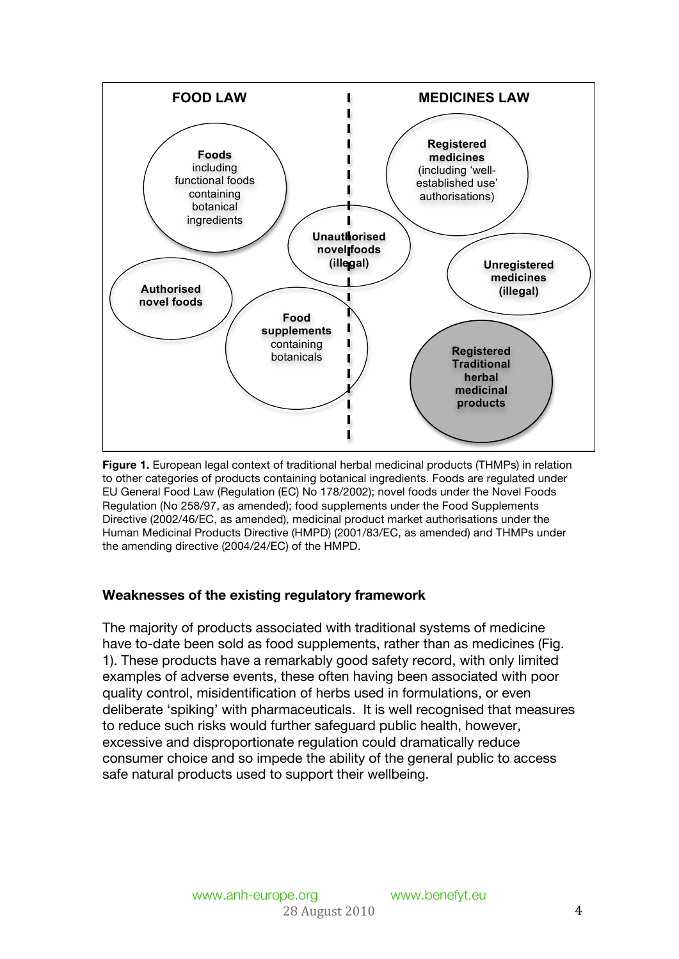

**Figure 1.** European legal context of traditional herbal medicinal products (THMPs) in relation to other categories of products containing botanical ingredients. Foods are regulated under EU General Food Law (Regulation (EC) No 178/2002); novel foods under the Novel Foods Regulation (No 258/97, as amended); food supplements under the Food Supplements Directive (2002/46/EC, as amended), medicinal product market authorisations under the Human Medicinal Products Directive (HMPD) (2001/83/EC, as amended) and THMPs under the amending directive (2004/24/EC) of the HMPD.

## **Weaknesses of the existing regulatory framework**

The majority of products associated with traditional systems of medicine have to-date been sold as food supplements, rather than as medicines (Fig. 1). These products have a remarkably good safety record, with only limited examples of adverse events, these often having been associated with poor quality control, misidentification of herbs used in formulations, or even deliberate 'spiking' with pharmaceuticals. It is well recognised that measures to reduce such risks would further safeguard public health, however, excessive and disproportionate regulation could dramatically reduce consumer choice and so impede the ability of the general public to access safe natural products used to support their wellbeing.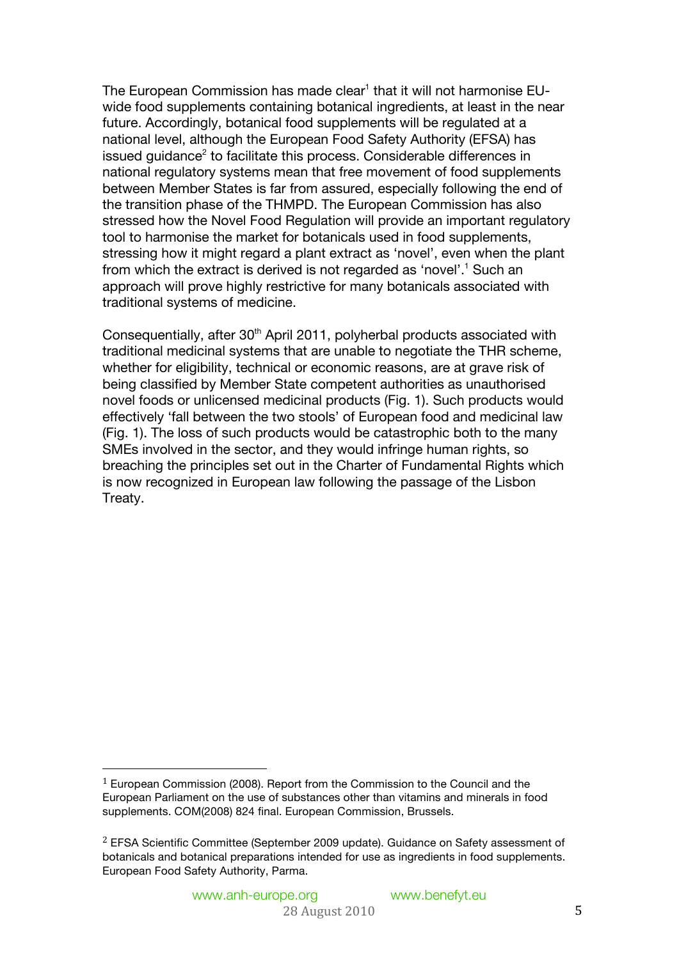The European Commission has made clear<sup>1</sup> that it will not harmonise EUwide food supplements containing botanical ingredients, at least in the near future. Accordingly, botanical food supplements will be regulated at a national level, although the European Food Safety Authority (EFSA) has issued guidance<sup>2</sup> to facilitate this process. Considerable differences in national regulatory systems mean that free movement of food supplements between Member States is far from assured, especially following the end of the transition phase of the THMPD. The European Commission has also stressed how the Novel Food Regulation will provide an important regulatory tool to harmonise the market for botanicals used in food supplements, stressing how it might regard a plant extract as 'novel', even when the plant from which the extract is derived is not regarded as 'novel'.<sup>1</sup> Such an approach will prove highly restrictive for many botanicals associated with traditional systems of medicine.

Consequentially, after 30<sup>th</sup> April 2011, polyherbal products associated with traditional medicinal systems that are unable to negotiate the THR scheme, whether for eligibility, technical or economic reasons, are at grave risk of being classified by Member State competent authorities as unauthorised novel foods or unlicensed medicinal products (Fig. 1). Such products would effectively 'fall between the two stools' of European food and medicinal law (Fig. 1). The loss of such products would be catastrophic both to the many SMEs involved in the sector, and they would infringe human rights, so breaching the principles set out in the Charter of Fundamental Rights which is now recognized in European law following the passage of the Lisbon Treaty.

<sup>1</sup> European Commission (2008). Report from the Commission to the Council and the European Parliament on the use of substances other than vitamins and minerals in food supplements. COM(2008) 824 final. European Commission, Brussels.

<sup>2</sup> EFSA Scientific Committee (September 2009 update). Guidance on Safety assessment of botanicals and botanical preparations intended for use as ingredients in food supplements. European Food Safety Authority, Parma.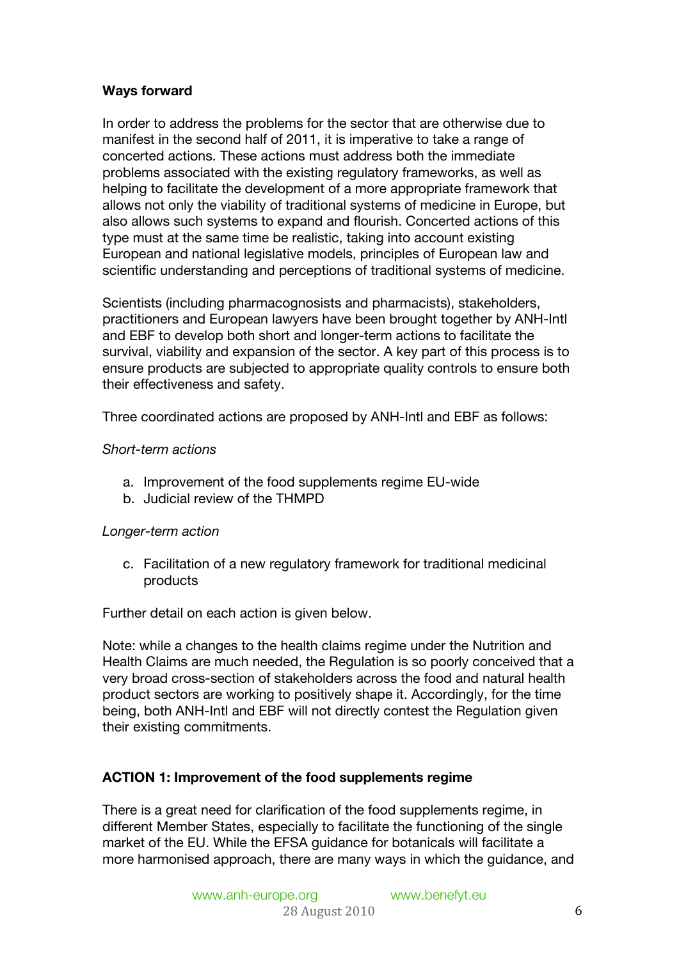## **Ways forward**

In order to address the problems for the sector that are otherwise due to manifest in the second half of 2011, it is imperative to take a range of concerted actions. These actions must address both the immediate problems associated with the existing regulatory frameworks, as well as helping to facilitate the development of a more appropriate framework that allows not only the viability of traditional systems of medicine in Europe, but also allows such systems to expand and flourish. Concerted actions of this type must at the same time be realistic, taking into account existing European and national legislative models, principles of European law and scientific understanding and perceptions of traditional systems of medicine.

Scientists (including pharmacognosists and pharmacists), stakeholders, practitioners and European lawyers have been brought together by ANH-Intl and EBF to develop both short and longer-term actions to facilitate the survival, viability and expansion of the sector. A key part of this process is to ensure products are subjected to appropriate quality controls to ensure both their effectiveness and safety.

Three coordinated actions are proposed by ANH-Intl and EBF as follows:

#### *Short-term actions*

- a. Improvement of the food supplements regime EU-wide
- b. Judicial review of the THMPD

## *Longer-term action*

c. Facilitation of a new regulatory framework for traditional medicinal products

Further detail on each action is given below.

Note: while a changes to the health claims regime under the Nutrition and Health Claims are much needed, the Regulation is so poorly conceived that a very broad cross-section of stakeholders across the food and natural health product sectors are working to positively shape it. Accordingly, for the time being, both ANH-Intl and EBF will not directly contest the Regulation given their existing commitments.

## **ACTION 1: Improvement of the food supplements regime**

There is a great need for clarification of the food supplements regime, in different Member States, especially to facilitate the functioning of the single market of the EU. While the EFSA guidance for botanicals will facilitate a more harmonised approach, there are many ways in which the guidance, and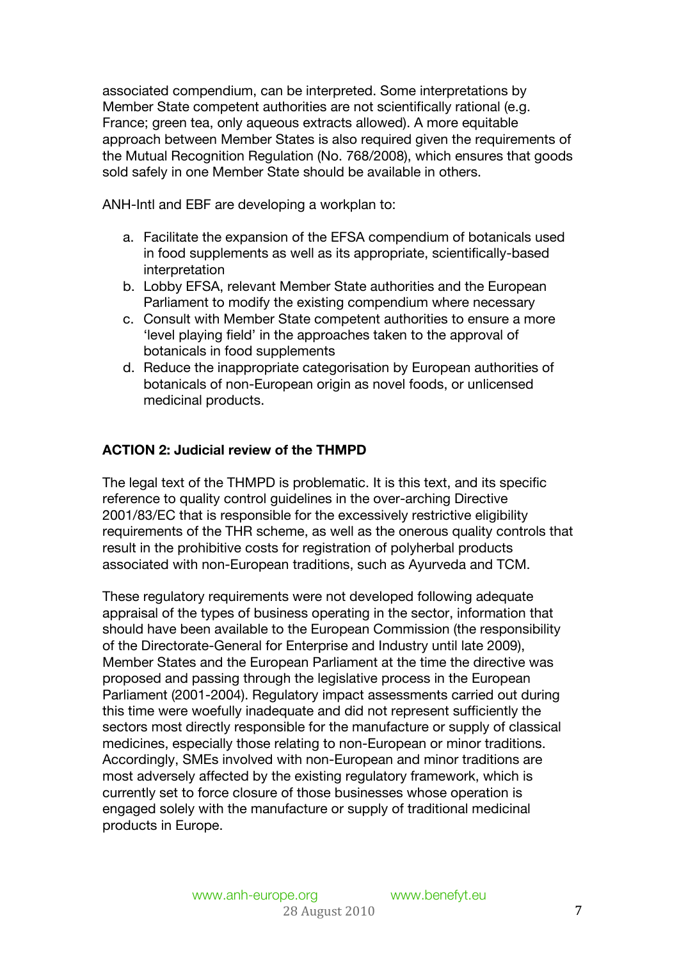associated compendium, can be interpreted. Some interpretations by Member State competent authorities are not scientifically rational (e.g. France; green tea, only aqueous extracts allowed). A more equitable approach between Member States is also required given the requirements of the Mutual Recognition Regulation (No. 768/2008), which ensures that goods sold safely in one Member State should be available in others.

ANH-Intl and EBF are developing a workplan to:

- a. Facilitate the expansion of the EFSA compendium of botanicals used in food supplements as well as its appropriate, scientifically-based interpretation
- b. Lobby EFSA, relevant Member State authorities and the European Parliament to modify the existing compendium where necessary
- c. Consult with Member State competent authorities to ensure a more 'level playing field' in the approaches taken to the approval of botanicals in food supplements
- d. Reduce the inappropriate categorisation by European authorities of botanicals of non-European origin as novel foods, or unlicensed medicinal products.

## **ACTION 2: Judicial review of the THMPD**

The legal text of the THMPD is problematic. It is this text, and its specific reference to quality control guidelines in the over-arching Directive 2001/83/EC that is responsible for the excessively restrictive eligibility requirements of the THR scheme, as well as the onerous quality controls that result in the prohibitive costs for registration of polyherbal products associated with non-European traditions, such as Ayurveda and TCM.

These regulatory requirements were not developed following adequate appraisal of the types of business operating in the sector, information that should have been available to the European Commission (the responsibility of the Directorate-General for Enterprise and Industry until late 2009), Member States and the European Parliament at the time the directive was proposed and passing through the legislative process in the European Parliament (2001-2004). Regulatory impact assessments carried out during this time were woefully inadequate and did not represent sufficiently the sectors most directly responsible for the manufacture or supply of classical medicines, especially those relating to non-European or minor traditions. Accordingly, SMEs involved with non-European and minor traditions are most adversely affected by the existing regulatory framework, which is currently set to force closure of those businesses whose operation is engaged solely with the manufacture or supply of traditional medicinal products in Europe.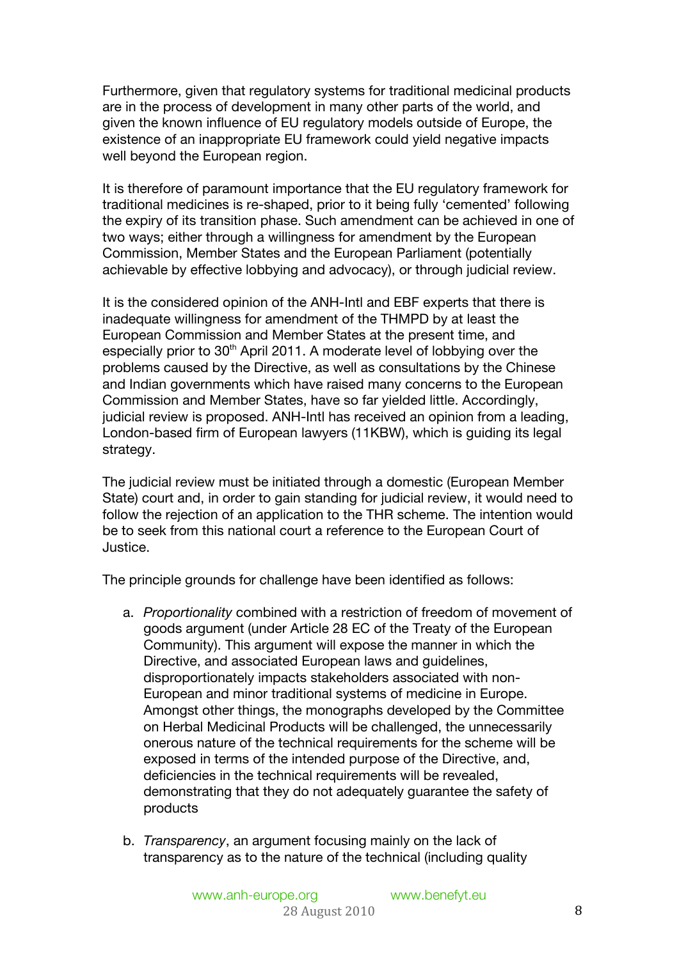Furthermore, given that regulatory systems for traditional medicinal products are in the process of development in many other parts of the world, and given the known influence of EU regulatory models outside of Europe, the existence of an inappropriate EU framework could yield negative impacts well beyond the European region.

It is therefore of paramount importance that the EU regulatory framework for traditional medicines is re-shaped, prior to it being fully 'cemented' following the expiry of its transition phase. Such amendment can be achieved in one of two ways; either through a willingness for amendment by the European Commission, Member States and the European Parliament (potentially achievable by effective lobbying and advocacy), or through judicial review.

It is the considered opinion of the ANH-Intl and EBF experts that there is inadequate willingness for amendment of the THMPD by at least the European Commission and Member States at the present time, and especially prior to 30<sup>th</sup> April 2011. A moderate level of lobbying over the problems caused by the Directive, as well as consultations by the Chinese and Indian governments which have raised many concerns to the European Commission and Member States, have so far yielded little. Accordingly, judicial review is proposed. ANH-Intl has received an opinion from a leading, London-based firm of European lawyers (11KBW), which is guiding its legal strategy.

The judicial review must be initiated through a domestic (European Member State) court and, in order to gain standing for judicial review, it would need to follow the rejection of an application to the THR scheme. The intention would be to seek from this national court a reference to the European Court of Justice.

The principle grounds for challenge have been identified as follows:

- a. *Proportionality* combined with a restriction of freedom of movement of goods argument (under Article 28 EC of the Treaty of the European Community). This argument will expose the manner in which the Directive, and associated European laws and guidelines, disproportionately impacts stakeholders associated with non-European and minor traditional systems of medicine in Europe. Amongst other things, the monographs developed by the Committee on Herbal Medicinal Products will be challenged, the unnecessarily onerous nature of the technical requirements for the scheme will be exposed in terms of the intended purpose of the Directive, and, deficiencies in the technical requirements will be revealed, demonstrating that they do not adequately guarantee the safety of products
- b. *Transparency*, an argument focusing mainly on the lack of transparency as to the nature of the technical (including quality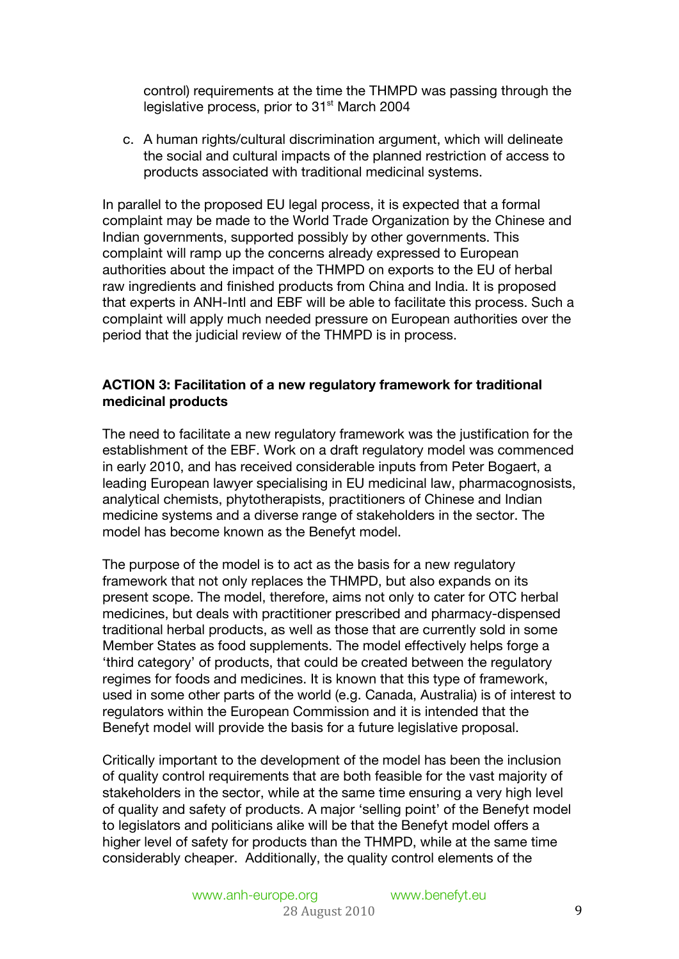control) requirements at the time the THMPD was passing through the legislative process, prior to 31<sup>st</sup> March 2004

c. A human rights/cultural discrimination argument, which will delineate the social and cultural impacts of the planned restriction of access to products associated with traditional medicinal systems.

In parallel to the proposed EU legal process, it is expected that a formal complaint may be made to the World Trade Organization by the Chinese and Indian governments, supported possibly by other governments. This complaint will ramp up the concerns already expressed to European authorities about the impact of the THMPD on exports to the EU of herbal raw ingredients and finished products from China and India. It is proposed that experts in ANH-Intl and EBF will be able to facilitate this process. Such a complaint will apply much needed pressure on European authorities over the period that the judicial review of the THMPD is in process.

### **ACTION 3: Facilitation of a new regulatory framework for traditional medicinal products**

The need to facilitate a new regulatory framework was the justification for the establishment of the EBF. Work on a draft regulatory model was commenced in early 2010, and has received considerable inputs from Peter Bogaert, a leading European lawyer specialising in EU medicinal law, pharmacognosists, analytical chemists, phytotherapists, practitioners of Chinese and Indian medicine systems and a diverse range of stakeholders in the sector. The model has become known as the Benefyt model.

The purpose of the model is to act as the basis for a new regulatory framework that not only replaces the THMPD, but also expands on its present scope. The model, therefore, aims not only to cater for OTC herbal medicines, but deals with practitioner prescribed and pharmacy-dispensed traditional herbal products, as well as those that are currently sold in some Member States as food supplements. The model effectively helps forge a 'third category' of products, that could be created between the regulatory regimes for foods and medicines. It is known that this type of framework, used in some other parts of the world (e.g. Canada, Australia) is of interest to regulators within the European Commission and it is intended that the Benefyt model will provide the basis for a future legislative proposal.

Critically important to the development of the model has been the inclusion of quality control requirements that are both feasible for the vast majority of stakeholders in the sector, while at the same time ensuring a very high level of quality and safety of products. A major 'selling point' of the Benefyt model to legislators and politicians alike will be that the Benefyt model offers a higher level of safety for products than the THMPD, while at the same time considerably cheaper. Additionally, the quality control elements of the